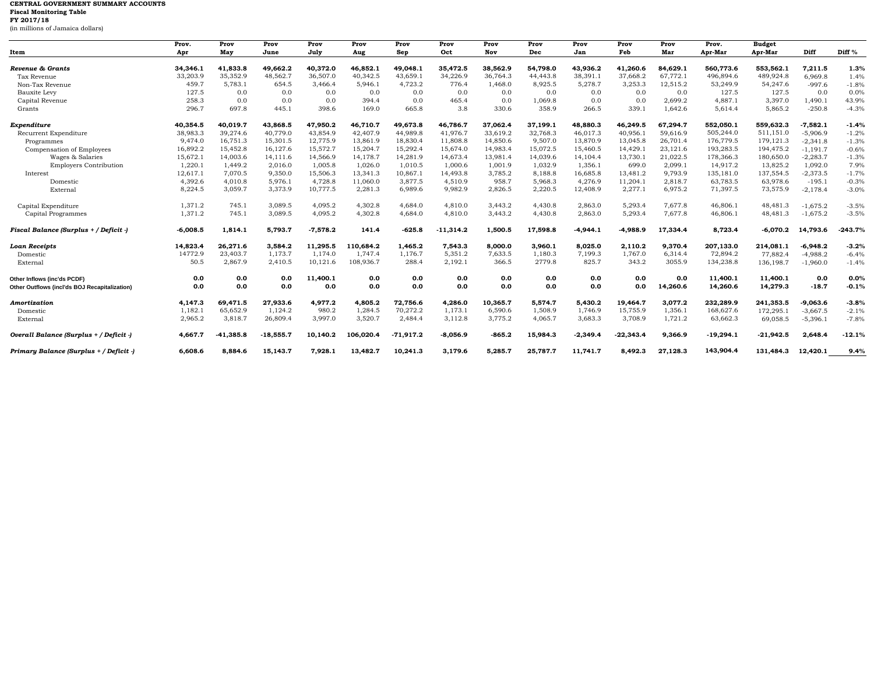## **CENTRAL GOVERNMENT SUMMARY ACCOUNTS Fiscal Monitoring Table FY 2017/18**

(in millions of Jamaica dollars)

|                                               | Prov.      | Prov        | Prov        | Prov       | Prov      | Prov        | Prov        | Prov     | Prov     | Prov       | Prov        | Prov     | Prov.       | <b>Budget</b> |            |                   |
|-----------------------------------------------|------------|-------------|-------------|------------|-----------|-------------|-------------|----------|----------|------------|-------------|----------|-------------|---------------|------------|-------------------|
| Item                                          | Apr        | May         | June        | July       | Aug       | Sep         | Oct         | Nov      | Dec      | Jan        | Feb         | Mar      | Apr-Mar     | Apr-Mar       | Diff       | Diff <sup>%</sup> |
|                                               |            |             |             |            |           |             |             |          |          |            |             |          |             |               |            |                   |
| Revenue & Grants                              | 34,346.1   | 41.833.8    | 49.662.2    | 40.372.0   | 46,852.1  | 49.048.1    | 35.472.5    | 38.562.9 | 54.798.0 | 43.936.2   | 41.260.6    | 84.629.1 | 560,773.6   | 553,562.1     | 7.211.5    | 1.3%              |
| Tax Revenue                                   | 33,203.9   | 35,352.9    | 48,562.7    | 36,507.0   | 40,342.5  | 43,659.1    | 34,226.9    | 36,764.3 | 44,443.8 | 38,391.1   | 37,668.2    | 67,772.1 | 496,894.6   | 489,924.8     | 6,969.8    | 1.4%              |
| Non-Tax Revenue                               | 459.7      | 5,783.1     | 654.5       | 3,466.4    | 5,946.1   | 4,723.2     | 776.4       | 1,468.0  | 8,925.5  | 5,278.7    | 3,253.3     | 12,515.2 | 53,249.9    | 54,247.6      | $-997.6$   | $-1.8%$           |
| <b>Bauxite Levy</b>                           | 127.5      | 0.0         | 0.0         | 0.0        | 0.0       | 0.0         | 0.0         | 0.0      | 0.0      | 0.0        | 0.0         | 0.0      | 127.5       | 127.5         | 0.0        | 0.0%              |
| Capital Revenue                               | 258.3      | 0.0         | 0.0         | 0.0        | 394.4     | 0.0         | 465.4       | 0.0      | 1,069.8  | 0.0        | 0.0         | 2,699.2  | 4,887.1     | 3,397.0       | 1,490.1    | 43.9%             |
| Grants                                        | 296.7      | 697.8       | 445.1       | 398.6      | 169.0     | 665.8       | 3.8         | 330.6    | 358.9    | 266.5      | 339.1       | 1,642.6  | 5,614.4     | 5,865.2       | $-250.8$   | $-4.3%$           |
| Expenditure                                   | 40,354.5   | 40,019.7    | 43,868.5    | 47,950.2   | 46,710.7  | 49,673.8    | 46,786.7    | 37,062.4 | 37,199.1 | 48,880.3   | 46,249.5    | 67,294.7 | 552,050.1   | 559,632.3     | $-7,582.1$ | $-1.4%$           |
| Recurrent Expenditure                         | 38,983.3   | 39,274.6    | 40,779.0    | 43,854.9   | 42,407.9  | 44,989.8    | 41,976.7    | 33,619.2 | 32,768.3 | 46,017.3   | 40,956.     | 59,616.9 | 505,244.0   | 511,151.0     | $-5,906.9$ | $-1.2%$           |
| Programmes                                    | 9.474.0    | 16,751.3    | 15,301.5    | 12,775.9   | 13,861.9  | 18,830.4    | 11,808.8    | 14,850.6 | 9,507.0  | 13,870.9   | 13,045.8    | 26,701.4 | 176,779.5   | 179, 121.3    | $-2,341.8$ | $-1.3%$           |
| Compensation of Employees                     | 16,892.2   | 15,452.8    | 16,127.6    | 15,572.7   | 15,204.7  | 15,292.4    | 15,674.0    | 14,983.4 | 15,072.5 | 15,460.5   | 14,429.1    | 23,121.6 | 193,283.5   | 194,475.2     | $-1,191.7$ | $-0.6%$           |
| Wages & Salaries                              | 15,672.1   | 14,003.6    | 14,111.6    | 14,566.9   | 14,178.7  | 14,281.9    | 14,673.4    | 13,981.4 | 14,039.6 | 14,104.4   | 13,730.1    | 21,022.5 | 178,366.3   | 180,650.0     | $-2,283.7$ | $-1.3%$           |
| <b>Employers Contribution</b>                 | 1,220.1    | 1,449.2     | 2,016.0     | 1,005.8    | 1,026.0   | 1,010.5     | 1,000.6     | 1,001.9  | 1,032.9  | 1,356.1    | 699.0       | 2,099.1  | 14,917.2    | 13,825.2      | 1,092.0    | 7.9%              |
| Interest                                      | 12,617.1   | 7,070.5     | 9,350.0     | 15,506.3   | 13,341.3  | 10,867.1    | 14,493.8    | 3,785.2  | 8,188.8  | 16,685.8   | 13,481.2    | 9,793.9  | 135,181.0   | 137,554.5     | $-2,373.5$ | $-1.7%$           |
| Domestic                                      | 4.392.6    | 4,010.8     | 5,976.1     | 4.728.8    | 11,060.0  | 3.877.5     | 4,510.9     | 958.7    | 5.968.3  | 4,276.9    | 11,204.1    | 2.818.7  | 63,783.5    | 63,978.6      | $-195.1$   | $-0.3%$           |
| External                                      | 8,224.5    | 3,059.7     | 3,373.9     | 10,777.5   | 2,281.3   | 6,989.6     | 9,982.9     | 2,826.5  | 2,220.5  | 12,408.9   | 2,277.1     | 6,975.2  | 71,397.5    | 73,575.9      | $-2,178.4$ | $-3.0%$           |
| Capital Expenditure                           | 1,371.2    | 745.1       | 3,089.5     | 4,095.2    | 4,302.8   | 4,684.0     | 4,810.0     | 3,443.2  | 4,430.8  | 2,863.0    | 5,293.4     | 7,677.8  | 46,806.1    | 48,481.3      | $-1.675.2$ | $-3.5%$           |
| Capital Programmes                            | 1,371.2    | 745.1       | 3,089.5     | 4,095.2    | 4,302.8   | 4,684.0     | 4,810.0     | 3,443.2  | 4,430.8  | 2,863.0    | 5,293.4     | 7,677.8  | 46,806.1    | 48,481.3      | $-1,675.2$ | $-3.5%$           |
|                                               |            |             |             |            |           |             |             |          |          |            |             |          |             |               |            |                   |
| Fiscal Balance (Surplus + / Deficit -)        | $-6,008.5$ | 1,814.1     | 5,793.7     | $-7,578.2$ | 141.4     | $-625.8$    | $-11,314.2$ | 1,500.5  | 17,598.8 | $-4,944.1$ | -4,988.9    | 17,334.4 | 8,723.4     | $-6,070.2$    | 14.793.6   | $-243.7%$         |
| Loan Receipts                                 | 14,823.4   | 26,271.6    | 3,584.2     | 11,295.5   | 10.684.2  | 1,465.2     | 7,543.3     | 8,000.0  | 3,960.1  | 8,025.0    | 2,110.2     | 9,370.4  | 207,133.0   | 214.081.1     | $-6,948.2$ | $-3.2%$           |
| Domestic                                      | 14772.9    | 23,403.7    | 1,173.7     | 1,174.0    | 1,747.4   | 1,176.7     | 5,351.2     | 7,633.5  | 1,180.3  | 7,199.3    | 1,767.0     | 6,314.4  | 72,894.2    | 77,882.4      | $-4,988.2$ | $-6.4%$           |
| External                                      | 50.5       | 2,867.9     | 2,410.5     | 10,121.6   | 108,936.7 | 288.4       | 2,192.1     | 366.5    | 2779.8   | 825.7      | 343.2       | 3055.9   | 134,238.8   | 136,198.7     | $-1,960.0$ | $-1.4%$           |
| Other Inflows (inc'ds PCDF)                   | 0.0        | 0.0         | 0.0         | 11,400.1   | 0.0       | 0.0         | 0.0         | 0.0      | 0.0      | 0.0        | 0.0         | 0.0      | 11.400.1    | 11,400.1      | 0.0        | 0.0%              |
| Other Outflows (incl'ds BOJ Recapitalization) | 0.0        | 0.0         | 0.0         | 0.0        | 0.0       | 0.0         | 0.0         | 0.0      | 0.0      | 0.0        | 0.0         | 14,260.6 | 14,260.6    | 14,279.3      | $-18.7$    | $-0.1%$           |
| Amortization                                  | 4,147.3    | 69,471.5    | 27,933.6    | 4,977.2    | 4,805.2   | 72,756.6    | 4,286.0     | 10,365.7 | 5,574.7  | 5,430.2    | 19,464.7    | 3,077.2  | 232,289.9   | 241,353.5     | $-9.063.6$ | $-3.8%$           |
| Domestic                                      | 1,182.1    | 65,652.9    | 1,124.2     | 980.2      | 1,284.5   | 70,272.2    | 1,173.1     | 6,590.6  | 1,508.9  | 1,746.9    | 15,755.9    | 1,356.1  | 168,627.6   | 172,295.1     | $-3,667.5$ | $-2.1%$           |
| External                                      | 2,965.2    | 3,818.7     | 26,809.4    | 3,997.0    | 3,520.7   | 2,484.4     | 3,112.8     | 3,775.2  | 4,065.7  | 3,683.3    | 3,708.9     | 1,721.2  | 63,662.3    | 69,058.5      | $-5,396.1$ | $-7.8%$           |
| Overall Balance (Surplus + / Deficit -)       | 4.667.7    | $-41.385.8$ | $-18,555.7$ | 10,140.2   | 106.020.4 | $-71.917.2$ | $-8.056.9$  | -865.2   | 15,984.3 | $-2.349.4$ | $-22.343.4$ | 9.366.9  | $-19,294.1$ | $-21.942.5$   | 2.648.4    | $-12.1%$          |
| Primary Balance (Surplus + / Deficit -)       | 6,608.6    | 8,884.6     | 15,143.7    | 7,928.1    | 13,482.7  | 10,241.3    | 3,179.6     | 5,285.7  | 25,787.7 | 11,741.7   | 8,492.3     | 27,128.3 | 143,904.4   | 131,484.3     | 12,420.1   | 9.4%              |